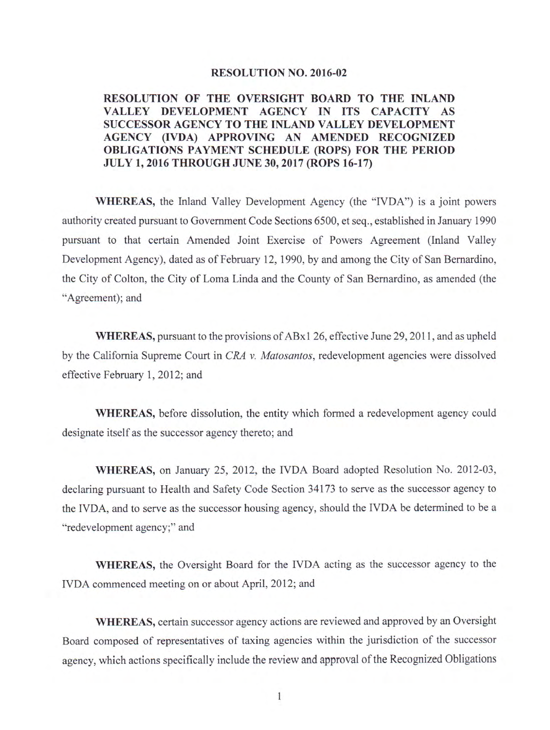#### **RESOLUTION NO. 2016-02**

#### RESOLUTION OF THE OVERSIGHT BOARD TO THE INLAND VALLEY DEVELOPMENT AGENCY IN ITS CAPACITY AS SUCCESSOR AGENCY TO THE INLAND VALLEY DEVELOPMENT AGENCY (IVDA) APPROVING AN AMENDED RECOGNIZED **OBLIGATIONS PAYMENT SCHEDULE (ROPS) FOR THE PERIOD JULY 1, 2016 THROUGH JUNE 30, 2017 (ROPS 16-17)**

**WHEREAS**, the Inland Valley Development Agency (the "IVDA") is a joint powers authority created pursuant to Government Code Sections 6500, et seq., established in January 1990 pursuant to that certain Amended Joint Exercise of Powers Agreement (Inland Valley Development Agency), dated as of February 12, 1990, by and among the City of San Bernardino, the City of Colton, the City of Loma Linda and the County of San Bernardino, as amended (the "Agreement); and

**WHEREAS, pursuant to the provisions of ABx1 26, effective June 29, 2011, and as upheld** by the California Supreme Court in CRA v. Matosantos, redevelopment agencies were dissolved effective February 1, 2012; and

WHEREAS, before dissolution, the entity which formed a redevelopment agency could designate itself as the successor agency thereto; and

WHEREAS, on January 25, 2012, the IVDA Board adopted Resolution No. 2012-03, declaring pursuant to Health and Safety Code Section 34173 to serve as the successor agency to the IVDA, and to serve as the successor housing agency, should the IVDA be determined to be a "redevelopment agency;" and

WHEREAS, the Oversight Board for the IVDA acting as the successor agency to the IVDA commenced meeting on or about April, 2012; and

**WHEREAS**, certain successor agency actions are reviewed and approved by an Oversight Board composed of representatives of taxing agencies within the jurisdiction of the successor agency, which actions specifically include the review and approval of the Recognized Obligations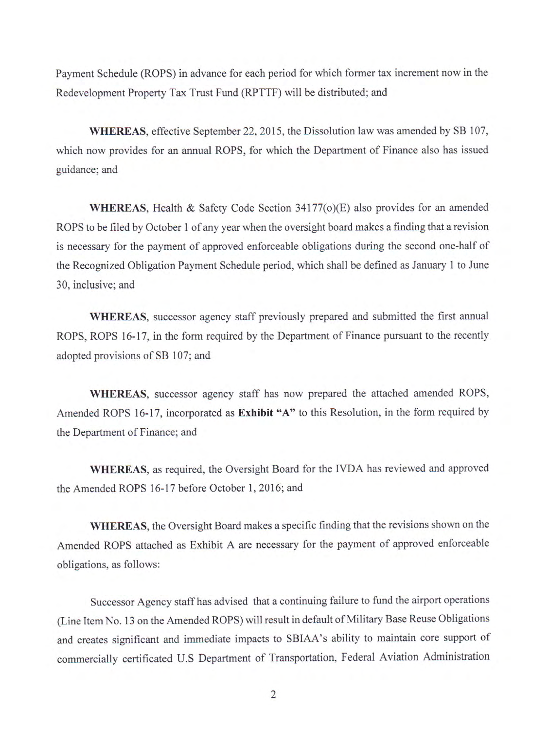Payment Schedule (ROPS) in advance for each period for which former tax increment now in the Redevelopment Property Tax Trust Fund (RPTTF) will be distributed; and

WHEREAS, effective September 22, 2015, the Dissolution law was amended by SB 107, which now provides for an annual ROPS, for which the Department of Finance also has issued guidance; and

**WHEREAS**, Health & Safety Code Section 34177(o)(E) also provides for an amended ROPS to be filed by October 1 of any year when the oversight board makes a finding that a revision is necessary for the payment of approved enforceable obligations during the second one-half of the Recognized Obligation Payment Schedule period, which shall be defined as January 1 to June 30, inclusive; and

WHEREAS, successor agency staff previously prepared and submitted the first annual ROPS, ROPS 16-17, in the form required by the Department of Finance pursuant to the recently adopted provisions of SB 107; and

WHEREAS, successor agency staff has now prepared the attached amended ROPS, Amended ROPS 16-17, incorporated as Exhibit "A" to this Resolution, in the form required by the Department of Finance; and

WHEREAS, as required, the Oversight Board for the IVDA has reviewed and approved the Amended ROPS 16-17 before October 1, 2016; and

WHEREAS, the Oversight Board makes a specific finding that the revisions shown on the Amended ROPS attached as Exhibit A are necessary for the payment of approved enforceable obligations, as follows:

Successor Agency staff has advised that a continuing failure to fund the airport operations (Line Item No. 13 on the Amended ROPS) will result in default of Military Base Reuse Obligations and creates significant and immediate impacts to SBIAA's ability to maintain core support of commercially certificated U.S Department of Transportation, Federal Aviation Administration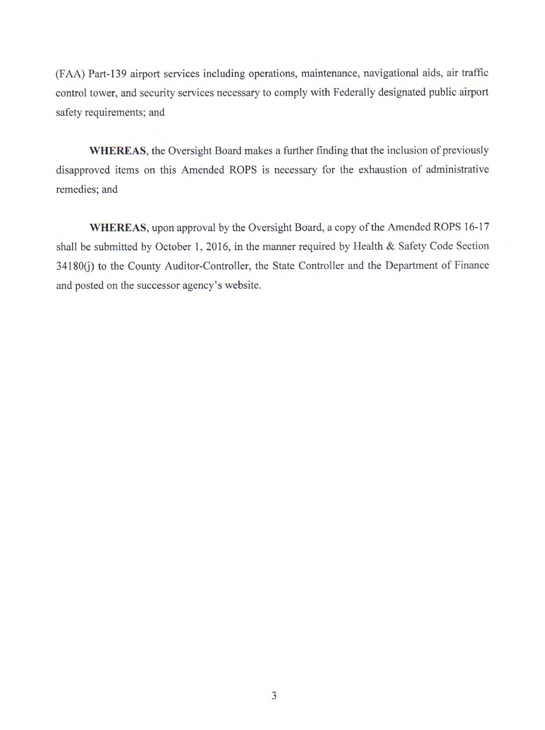(FAA) Part-139 airport services including operations, maintenance, navigational aids, air traffic control tower, and security services necessary to comply with Federally designated public airport safety requirements; and

**WHEREAS**, the Oversight Board makes a further finding that the inclusion of previously disapproved items on this Amended ROPS is necessary for the exhaustion of administrative remedies; and

WHEREAS, upon approval by the Oversight Board, a copy of the Amended ROPS 16-17 shall be submitted by October 1, 2016, in the manner required by Health & Safety Code Section 34180(j) to the County Auditor-Controller, the State Controller and the Department of Finance and posted on the successor agency's website.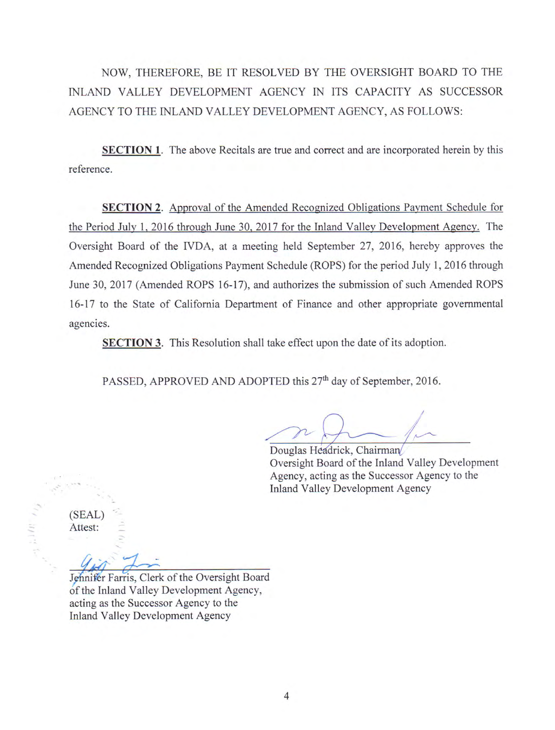NOW, THEREFORE, BE IT RESOLVED BY THE OVERSIGHT BOARD TO THE INLAND VALLEY DEVELOPMENT AGENCY IN ITS CAPACITY AS SUCCESSOR AGENCY TO THE INLAND VALLEY DEVELOPMENT AGENCY, AS FOLLOWS:

**SECTION 1.** The above Recitals are true and correct and are incorporated herein by this reference.

**SECTION 2.** Approval of the Amended Recognized Obligations Payment Schedule for the Period July 1, 2016 through June 30, 2017 for the Inland Valley Development Agency. The Oversight Board of the IVDA, at a meeting held September 27, 2016, hereby approves the Amended Recognized Obligations Payment Schedule (ROPS) for the period July 1, 2016 through June 30, 2017 (Amended ROPS 16-17), and authorizes the submission of such Amended ROPS 16-17 to the State of California Department of Finance and other appropriate governmental agencies.

**SECTION 3.** This Resolution shall take effect upon the date of its adoption.

PASSED, APPROVED AND ADOPTED this 27<sup>th</sup> day of September, 2016.

Douglas Headrick, Chairman Oversight Board of the Inland Valley Development Agency, acting as the Successor Agency to the **Inland Valley Development Agency** 

(SEAL) Attest:

Jehnifer Farris, Clerk of the Oversight Board of the Inland Valley Development Agency, acting as the Successor Agency to the **Inland Valley Development Agency**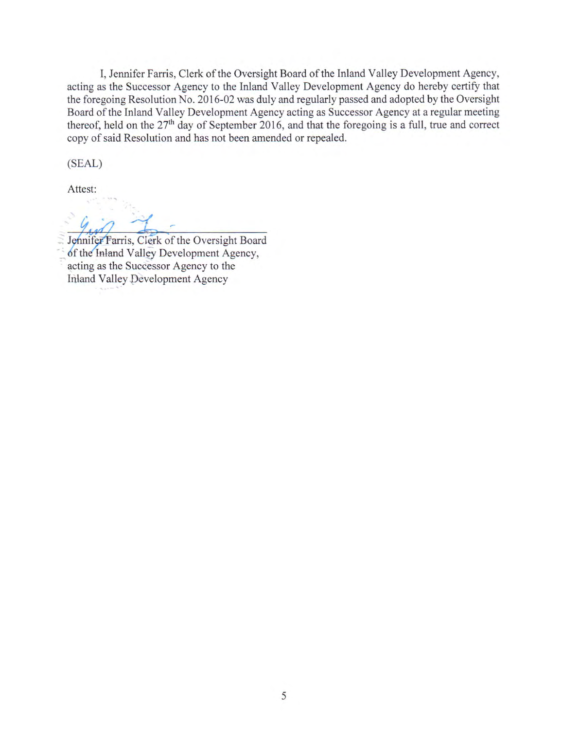I, Jennifer Farris, Clerk of the Oversight Board of the Inland Valley Development Agency, acting as the Successor Agency to the Inland Valley Development Agency do hereby certify that the foregoing Resolution No. 2016-02 was duly and regularly passed and adopted by the Oversight Board of the Inland Valley Development Agency acting as Successor Agency at a regular meeting thereof, held on the 27<sup>th</sup> day of September 2016, and that the foregoing is a full, true and correct copy of said Resolution and has not been amended or repealed.

(SEAL)

Attest:

Jennifer Farris, Clerk of the Oversight Board of the Inland Valley Development Agency, acting as the Successor Agency to the Inland Valley Development Agency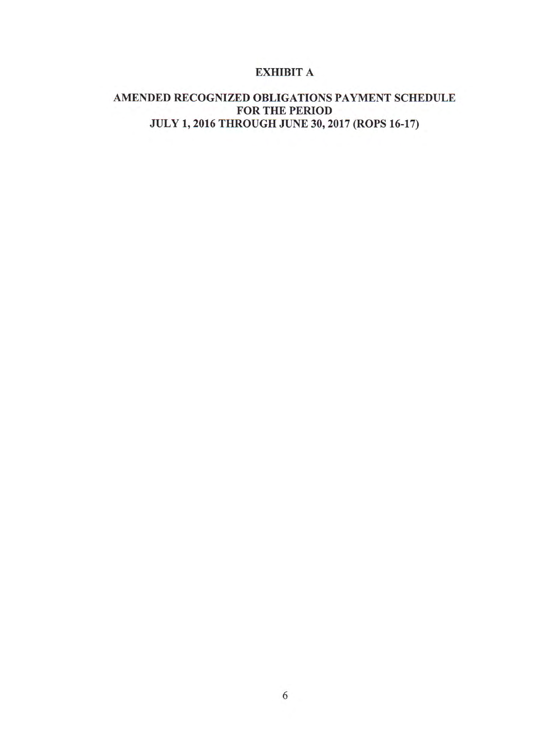## **EXHIBIT A**

## AMENDED RECOGNIZED OBLIGATIONS PAYMENT SCHEDULE FOR THE PERIOD JULY 1, 2016 THROUGH JUNE 30, 2017 (ROPS 16-17)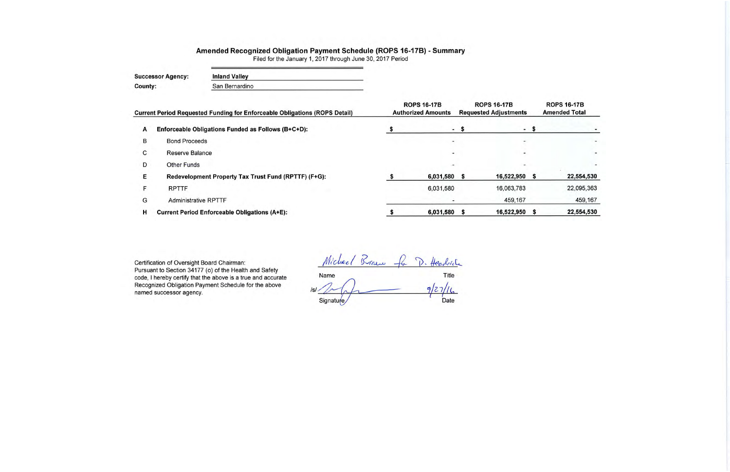# Amended Recognized Obligation Payment Schedule (ROPS 16-17B) - Summary

Filed for the January 1, 2017 through June 30, 2017 Period

**Inland Valley Successor Agency: County:** San Bernardino

|   | <b>Current Period Requested Funding for Enforceable Obligations (ROPS Detail)</b> | <b>ROPS 16-17B</b><br><b>Authorized Amounts</b> | <b>ROPS 16-17B</b><br><b>Requested Adjustments</b> |            |        |
|---|-----------------------------------------------------------------------------------|-------------------------------------------------|----------------------------------------------------|------------|--------|
| A | Enforceable Obligations Funded as Follows (B+C+D):                                |                                                 | - S                                                |            | $-$ \$ |
| B | <b>Bond Proceeds</b>                                                              |                                                 |                                                    |            |        |
| С | Reserve Balance                                                                   |                                                 |                                                    |            |        |
| D | Other Funds                                                                       |                                                 |                                                    |            |        |
| E | Redevelopment Property Tax Trust Fund (RPTTF) (F+G):                              | 6,031,580                                       |                                                    | 16,522,950 |        |
| F | <b>RPTTF</b>                                                                      | 6,031,580                                       |                                                    | 16,063,783 |        |
| G | <b>Administrative RPTTF</b>                                                       |                                                 |                                                    | 459,167    |        |
| н | <b>Current Period Enforceable Obligations (A+E):</b>                              | 6,031,580                                       | s                                                  | 16,522,950 |        |

Certification of Oversight Board Chairman: Pursuant to Section 34177 (o) of the Health and Safety code, I hereby certify that the above is a true and accurate Recognized Obligation Payment Schedule for the above named successor agency.

Michael Braw for D. Headrich Title<br> $9/27/16$ Name  $ISI.$  $\sqrt{ }$ Date Signature

| <b>ROPS 16-17B</b>   |
|----------------------|
| <b>Amended Total</b> |
|                      |
|                      |
|                      |
|                      |
| 22,554,530           |
| 22,095,363           |
| 459,167              |
| 22,554,530           |